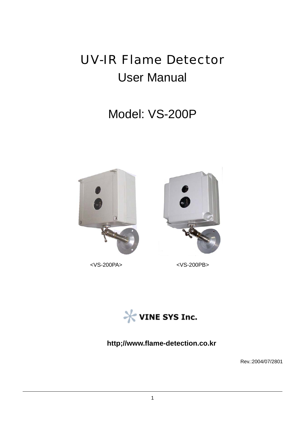# UV-IR Flame Detector User Manual

# Model: VS-200P



<VS-200PA> <VS-200PB>



**http;//www.flame-detection.co.kr** 

Rev.:2004/07/2801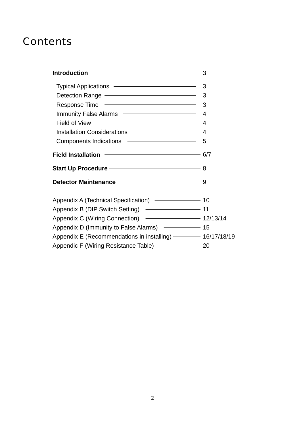# **Contents**

| Typical Applications –––––––––––––––––––––––3                                                                             |                |
|---------------------------------------------------------------------------------------------------------------------------|----------------|
| Detection Range - 3                                                                                                       |                |
| Response Time –––––––––––––––––––––––3                                                                                    |                |
| Immunity False Alarms <b>Constant Constant Constant Constant Constant</b>                                                 | $\overline{4}$ |
| Field of View                                                                                                             | $\overline{4}$ |
| Installation Considerations ––––––––––––––––– 4                                                                           |                |
| Components Indications –––––––––––––––––––5                                                                               |                |
| Field Installation ––––––––––––––––––––––––––6/7                                                                          |                |
| Start Up Procedure ––––––––––––––––––––––––– 8                                                                            |                |
| Detector Maintenance <b>Constanting Marson Constanting Constanting Constanting Constanting Constanting Constanting Co</b> |                |
| Appendix A (Technical Specification) - 2006 10                                                                            |                |
| Appendix B (DIP Switch Setting) - 41                                                                                      |                |
| Appendix C (Wiring Connection) – 12/13/14                                                                                 |                |
| Appendix D (Immunity to False Alarms) –––––––––––– 15                                                                     |                |
| Appendix E (Recommendations in installing) - 16/17/18/19                                                                  |                |
| Appendic F (Wiring Resistance Table) - 20                                                                                 |                |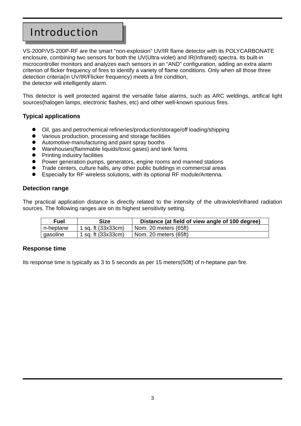# Introduction

VS-200P/VS-200P-RF are the smart "non-explosion" UV/IR flame detector with its POLYCARBONATE enclosure, combining two sensors for both the UV(Ultra-violet) and IR(Infrared) spectra. Its built-in microcontroller monitors and analyzes each sensors in an "AND" configuration, adding an extra alarm criterion of flicker frequency of fires to identify a variety of flame conditions. Only when all those three detection criteria(in UV/IR/Flicker frequency) meets a fire condition, the detector will intelligently alarm.

This detector is well protected against the versatile false alarms, such as ARC weldings, artifical light sources(halogen lamps, electronic flashes, etc) and other well-known spurious fires.

#### **Typical applications**

- Oil, gas and petrochemical refineries/production/storage/off loading/shipping
- Various production, processing and storage facilities
- Automotive-manufacturing and paint spray booths
- Warehouses(flammable liquids/toxic gases) and tank farms
- Printing industry facilities
- Power generation pumps, generators, engine rooms and manned stations
- Trade centers, culture halls, any other public buildings in commercial areas
- Especially for RF wireless solutions, with its optional RF module/Antenna.

#### **Detection range**

The practical application distance is directly related to the intensity of the ultraviolet/infrared radiation sources. The following ranges are on its highest sensitivity setting.

| Fuel      | Size                 | Distance (at field of view angle of 100 degree) |
|-----------|----------------------|-------------------------------------------------|
| n-heptane | 1 sq. ft (33x33cm)   | Nom. 20 meters (65ft)                           |
| gasoline  | 1 sq. ft $(33x33cm)$ | Nom. 20 meters (65ft)                           |

#### **Response time**

Its response time is typically as 3 to 5 seconds as per 15 meters(50ft) of n-heptane pan fire.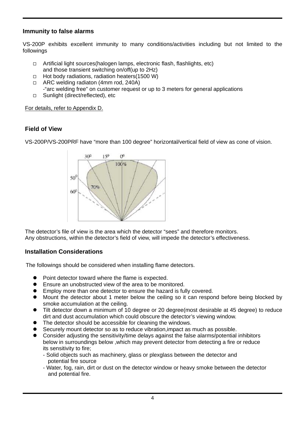#### **Immunity to false alarms**

VS-200P exhibits excellent immunity to many conditions/activities including but not limited to the followings

- □ Artificial light sources(halogen lamps, electronic flash, flashlights, etc) and those transient switching on/off(up to 2Hz)
- $\Box$  Hot body radiations, radiation heaters(1500 W)
- □ ARC welding radiaton (4mm rod, 240A)
- -"arc welding free" on customer request or up to 3 meters for general applications
- □ Sunlight (direct/reflected), etc

For details, refer to Appendix D.

#### **Field of View**

VS-200P/VS-200PRF have "more than 100 degree" horizontal/vertical field of view as cone of vision.



The detector's file of view is the area which the detector "sees" and therefore monitors. Any obstructions, within the detector's field of view, will impede the detector's effectiveness.

#### **Installation Considerations**

The followings should be considered when installing flame detectors.

- $\bullet$  Point detector toward where the flame is expected.
- Ensure an unobstructed view of the area to be monitored.
- Employ more than one detector to ensure the hazard is fully covered.
- Mount the detector about 1 meter below the ceiling so it can respond before being blocked by smoke accumulation at the ceiling.
- Tilt detector down a minimum of 10 degree or 20 degree(most desirable at 45 degree) to reduce dirt and dust accumulation which could obscure the detector's viewing window.
- The detector should be accessible for cleaning the windows.
- Securely mount detector so as to reduce vibration, impact as much as possible.
- z Consider adjusting the sensitivity/time delays against the false alarms/potential inhibitors below in surroundings below ,which may prevent detector from detecting a fire or reduce its sensitivity to fire;
	- Solid objects such as machinery, glass or plexglass between the detector and potential fire source
	- Water, fog, rain, dirt or dust on the detector window or heavy smoke between the detector and potential fire.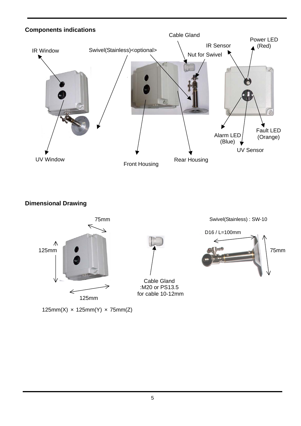

**Dimensional Drawing** 



125mm(X)  $\times$  125mm(Y)  $\times$  75mm(Z)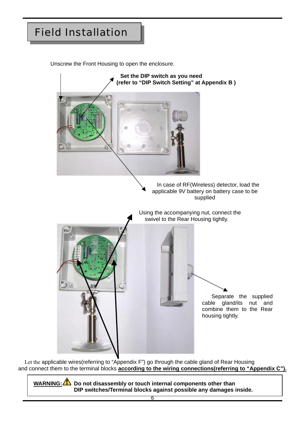# Field Installation

Unscrew the Front Housing to open the enclosure.



 Let the applicable wires(referring to "Appendix F") go through the cable gland of Rear Housing and connect them to the terminal blocks **according to the wiring connections(referring to "Appendix C").**

WARNING: **Do not disassembly or touch internal components other than DIP switches/Terminal blocks against possible any damages inside.**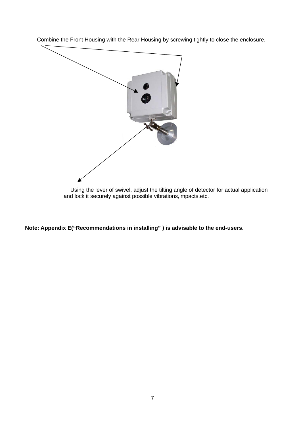Combine the Front Housing with the Rear Housing by screwing tightly to close the enclosure.



 Using the lever of swivel, adjust the tilting angle of detector for actual application and lock it securely against possible vibrations,impacts,etc.

**Note: Appendix E("Recommendations in installing" ) is advisable to the end-users.**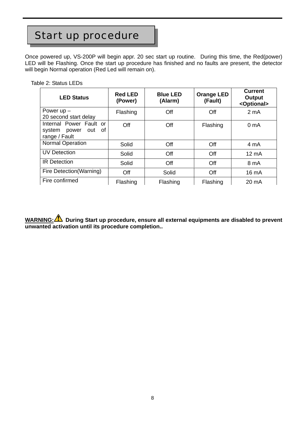# Start up procedure

Once powered up, VS-200P will begin appr. 20 sec start up routine. During this time, the Red(power) LED will be Flashing. Once the start up procedure has finished and no faults are present, the detector will begin Normal operation (Red Led will remain on).

Table 2: Status LEDs

| <b>LED Status</b>                                                        | <b>Red LED</b><br>(Power) | <b>Blue LED</b><br>(Alarm) | <b>Orange LED</b><br>(Fault) | <b>Current</b><br>Output<br><optional></optional> |
|--------------------------------------------------------------------------|---------------------------|----------------------------|------------------------------|---------------------------------------------------|
| Power $up -$<br>20 second start delay                                    | Flashing                  | Off                        | Off                          | $2 \text{ mA}$                                    |
| Internal Power Fault or<br>0f<br>system<br>power<br>out<br>range / Fault | Off                       | Off                        | Flashing                     | 0 <sub>m</sub> A                                  |
| <b>Normal Operation</b>                                                  | Solid                     | Off                        | Off                          | 4 mA                                              |
| <b>UV Detection</b>                                                      | Solid                     | Off                        | Off                          | $12 \text{ mA}$                                   |
| <b>IR Detection</b>                                                      | Solid                     | Off                        | Off                          | 8 mA                                              |
| Fire Detection (Warning)                                                 | Off                       | Solid                      | Off                          | 16 mA                                             |
| Fire confirmed                                                           | Flashing                  | Flashing                   | Flashing                     | 20 mA                                             |

WARNING: **During Start up procedure, ensure all external equipments are disabled to prevent unwanted activation until its procedure completion..**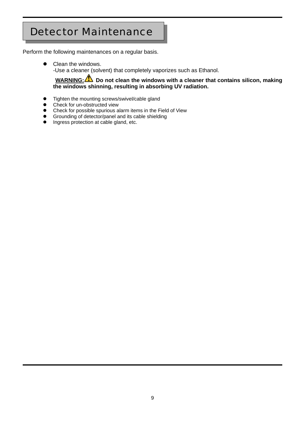# Detector Maintenance

Perform the following maintenances on a regular basis.

Clean the windows. -Use a cleaner (solvent) that completely vaporizes such as Ethanol.

#### **WARNING:** Do not clean the windows with a cleaner that contains silicon, making **the windows shinning, resulting in absorbing UV radiation.**

- Tighten the mounting screws/swivel/cable gland
- Check for un-obstructed view
- Check for possible spurious alarm items in the Field of View
- **•** Grounding of detector/panel and its cable shielding
- $\bullet$  Ingress protection at cable gland, etc.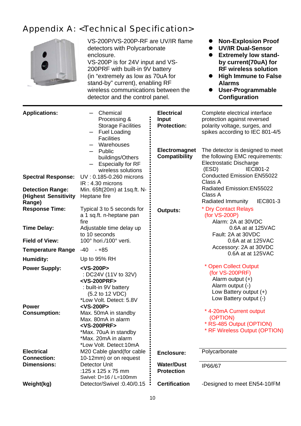### Appendix A: <Technical Specification>



VS-200P/VS-200P-RF are UV/IR flame detectors with Polycarbonate enclosure. VS-200P is for 24V input and VS-200PRF with built-in 9V battery (in "extremely as low as 70uA for stand-by" current), enabling RF wireless communications between the detector and the control panel.

- **Non-Explosion Proof**
- z **UV/IR Dual-Sensor**
- **•** Extremely low stand**by current(70uA) for RF wireless solution**
- **•** High Immune to False **Alarms**
- z **User-Programmable Configuration**

| <b>Applications:</b>                                      | Chemical<br>Processing &<br><b>Storage Facilities</b><br><b>Fuel Loading</b><br><b>Facilities</b><br>Warehouses<br>Public<br>buildings/Others<br><b>Especially for RF</b><br>wireless solutions | <b>Electrical</b><br><b>Input</b><br><b>Protection:</b><br><b>Electromagnet</b><br><b>Compatibility</b> | Complete electrical interface<br>protection against reversed<br>polarity voltage, surges, and<br>spikes according to IEC 801-4/5<br>The detector is designed to meet<br>the following EMC requirements:<br><b>Electrostatic Discharge</b><br><b>IEC801-2</b><br>(ESD) |
|-----------------------------------------------------------|-------------------------------------------------------------------------------------------------------------------------------------------------------------------------------------------------|---------------------------------------------------------------------------------------------------------|-----------------------------------------------------------------------------------------------------------------------------------------------------------------------------------------------------------------------------------------------------------------------|
| <b>Spectral Response:</b>                                 | UV: 0.185-0.260 microns<br>$IR: 4.30$ microns                                                                                                                                                   |                                                                                                         | <b>Conducted Emission EN55022</b><br>Class A                                                                                                                                                                                                                          |
| <b>Detection Range:</b><br>(Highest Sensitivity<br>Range) | Min. 65ft(20m) at 1sq.ft. N-<br>Heptane fire                                                                                                                                                    |                                                                                                         | Radiated Emission: EN55022<br>Class A<br>Radiated Immunity<br>IEC801-3                                                                                                                                                                                                |
| <b>Response Time:</b>                                     | Typical 3 to 5 seconds for<br>a 1 sq.ft. n-heptane pan<br>fire                                                                                                                                  | <b>Outputs:</b>                                                                                         | * Dry Contact Relays<br>(for VS-200P)<br>Alarm: 2A at 30VDC                                                                                                                                                                                                           |
| <b>Time Delay:</b>                                        | Adjustable time delay up<br>to 10 seconds                                                                                                                                                       |                                                                                                         | 0.6A at at 125VAC<br>Fault: 2A at 30VDC                                                                                                                                                                                                                               |
| <b>Field of View:</b>                                     | 100° hori./100° verti.                                                                                                                                                                          |                                                                                                         | 0.6A at at 125VAC                                                                                                                                                                                                                                                     |
| <b>Temperature Range</b>                                  | $-40$<br>- +85                                                                                                                                                                                  |                                                                                                         | Accessory: 2A at 30VDC<br>0.6A at at 125VAC                                                                                                                                                                                                                           |
| <b>Humidity:</b>                                          | Up to 95% RH                                                                                                                                                                                    |                                                                                                         |                                                                                                                                                                                                                                                                       |
| <b>Power Supply:</b>                                      | <vs-200p><br/>: DC24V (11V to 32V)<br/><vs-200prf><br/>: built-in 9V battery<br/>(5.2 to 12 VDC)<br/>*Low Volt. Detect: 5.8V<br/><vs-200p></vs-200p></vs-200prf></vs-200p>                      |                                                                                                         | <b>Open Collect Output</b><br>(for VS-200PRF)<br>Alarm output $(+)$<br>Alarm output (-)<br>Low Battery output (+)<br>Low Battery output (-)                                                                                                                           |
| <b>Power</b><br><b>Consumption:</b>                       | Max. 50mA in standby<br>Max. 80mA in alarm<br><vs-200prf><br/>*Max. 70uA in standby<br/>*Max. 20mA in alarm<br/>*Low Volt. Detect: 10mA</vs-200prf>                                             |                                                                                                         | * 4-20mA Current output<br>(OPTION)<br>* RS-485 Output (OPTION)<br>* RF Wireless Output (OPTION)                                                                                                                                                                      |
| <b>Electrical</b><br><b>Connection:</b>                   | M20 Cable gland (for cable<br>10-12mm) or on request                                                                                                                                            | <b>Enclosure:</b>                                                                                       | Polycarbonate                                                                                                                                                                                                                                                         |
| <b>Dimensions:</b>                                        | <b>Detector Unit</b><br>:125 x 125 x 75 mm<br>Swivel: D=16 / L=100mm                                                                                                                            | <b>Water/Dust</b><br><b>Protection</b>                                                                  | IP66/67                                                                                                                                                                                                                                                               |
| Weight(kg)                                                | Detector/Swivel: 0.40/0.15                                                                                                                                                                      | <b>Certification</b>                                                                                    | -Designed to meet EN54-10/FM                                                                                                                                                                                                                                          |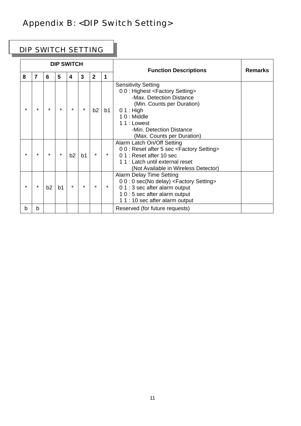# Appendix B: <DIP Switch Setting>

### DIP SWITCH SETTING

| <b>DIP SWITCH</b> |                         |    | <b>Function Descriptions</b> | <b>Remarks</b> |                |                |                |                                                                                                                                                                                                                                                                       |  |
|-------------------|-------------------------|----|------------------------------|----------------|----------------|----------------|----------------|-----------------------------------------------------------------------------------------------------------------------------------------------------------------------------------------------------------------------------------------------------------------------|--|
| 8                 | $\overline{\mathbf{z}}$ | 6  | 5                            | 4              | 3              | $\overline{2}$ | 1              |                                                                                                                                                                                                                                                                       |  |
| $\star$           | $\star$                 |    | $\star$                      | $\star$        | $\star$        | b2             | b <sub>1</sub> | <b>Sensitivity Setting</b><br>00: Highest <factory setting=""><br/>-Max. Detection Distance<br/>(Min. Counts per Duration)<br/><math>01:</math> High<br/><math>10:</math> Middle<br/>11: Lowest<br/>-Min. Detection Distance<br/>(Max. Counts per Duration)</factory> |  |
| $\star$           | $\star$                 |    | $\star$                      | b2             | b <sub>1</sub> | $\star$        |                | Alarm Latch On/Off Setting<br>00: Reset after 5 sec <factory setting=""><br/>01: Reset after 10 sec<br/>11: Latch until external reset<br/>(Not Available in Wireless Detector)</factory>                                                                             |  |
| $\star$           | $\star$                 | b2 | b <sub>1</sub>               | $\star$        | $\star$        | $\star$        |                | Alarm Delay Time Setting<br>00:0 sec(No delay) <factory setting=""><br/>01:3 sec after alarm output<br/>10:5 sec after alarm output<br/>11:10 sec after alarm output</factory>                                                                                        |  |
| b                 | b                       |    |                              |                |                |                |                | Reserved (for future requests)                                                                                                                                                                                                                                        |  |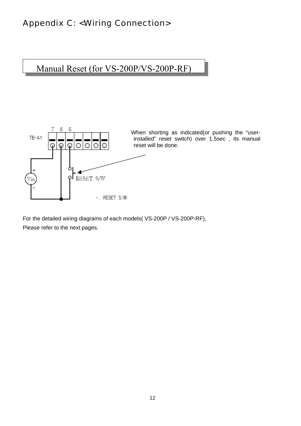### Appendix C: <Wiring Connection>

Manual Reset (for VS-200P/VS-200P-RF)



For the detailed wiring diagrams of each models( VS-200P / VS-200P-RF), Please refer to the next pages.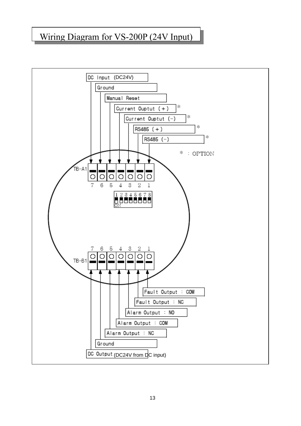### Wiring Diagram for VS-200P (24V Input)

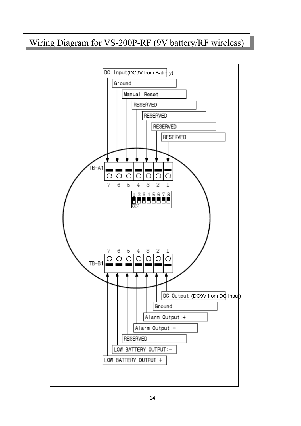## Wiring Diagram for VS-200P-RF (9V battery/RF wireless)

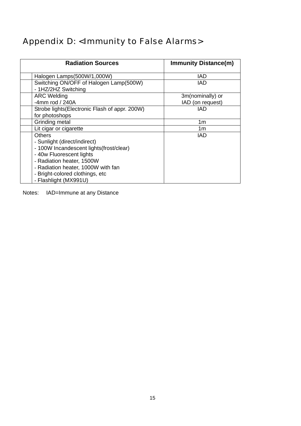# Appendix D: <Immunity to False Alarms>

| <b>Radiation Sources</b>                                      | <b>Immunity Distance(m)</b> |
|---------------------------------------------------------------|-----------------------------|
| Halogen Lamps(500W/1,000W)                                    | IAD                         |
| Switching ON/OFF of Halogen Lamp(500W)<br>- 1HZ/2HZ Switching | IAD                         |
| <b>ARC Welding</b>                                            | 3m(nominally) or            |
| -4mm rod / $240A$                                             | IAD (on request)            |
| Strobe lights (Electronic Flash of appr. 200W)                | IAD                         |
| for photoshops                                                |                             |
| Grinding metal                                                | 1m                          |
| Lit cigar or cigarette                                        | 1 <sub>m</sub>              |
| <b>Others</b>                                                 | IAD                         |
| - Sunlight (direct/indirect)                                  |                             |
| - 100W Incandescent lights(frost/clear)                       |                             |
| - 40w Fluorescent lights                                      |                             |
| - Radiation heater, 1500W                                     |                             |
| - Radiation heater, 1000W with fan                            |                             |
| - Bright-colored clothings, etc                               |                             |
| - Flashlight (MX991U)                                         |                             |

Notes: IAD=Immune at any Distance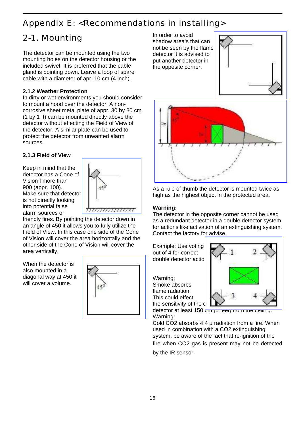### Appendix E: <Recommendations in installing>

## 2-1. Mounting

The detector can be mounted using the two mounting holes on the detector housing or the included swivel. It is preferred that the cable gland is pointing down. Leave a loop of spare cable with a diameter of apr. 10 cm (4 inch).

#### **2.1.2 Weather Protection**

In dirty or wet environments you should consider to mount a hood over the detector. A noncorrosive sheet metal plate of appr. 30 by 30 cm (1 by 1 ft) can be mounted directly above the detector without effecting the Field of View of the detector. A similar plate can be used to protect the detector from unwanted alarm sources.

#### **2.1.3 Field of View**

Keep in mind that the detector has a Cone of Vision f more than 900 (appr. 100). Make sure that detector is not directly looking into potential false alarm sources or



friendly fires. By pointing the detector down in an angle of 450 it allows you to fully utilize the Field of View. In this case one side of the Cone of Vision will cover the area horizontally and the other side of the Cone of Vision will cover the area vertically.

When the detector is also mounted in a diagonal way at 450 it will cover a volume.



In order to avoid shadow area's that can not be seen by the flame detector it is advised to put another detector in the opposite corner.





As a rule of thumb the detector is mounted twice as high as the highest object in the protected area.

#### **Warning:**

The detector in the opposite corner cannot be used as a redundant detector in a double detector system for actions like activation of an extinguishing system. Contact the factory for advise.

Example: Use voting 2 out of 4 for correct double detector actio

Warning: Smoke absorbs flame radiation. This could effect the sensitivity of the  $\mathbf d$ 



detector at least 150  $cm$  (5 feet) from the centrig. Warning:

Cold CO2 absorbs  $4.4 \mu$  radiation from a fire. When used in combination with a CO2 extinguishing system, be aware of the fact that re-ignition of the fire when CO2 gas is present may not be detected by the IR sensor.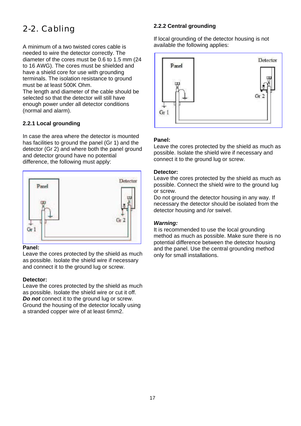# 2-2. Cabling

A minimum of a two twisted cores cable is needed to wire the detector correctly. The diameter of the cores must be 0.6 to 1.5 mm (24 to 16 AWG). The cores must be shielded and have a shield core for use with grounding terminals. The isolation resistance to ground must be at least 500K Ohm.

The length and diameter of the cable should be selected so that the detector will still have enough power under all detector conditions (normal and alarm).

#### **2.2.1 Local grounding**

In case the area where the detector is mounted has facilities to ground the panel (Gr 1) and the detector (Gr 2) and where both the panel ground and detector ground have no potential difference, the following must apply:



#### **Panel:**

Leave the cores protected by the shield as much as possible. Isolate the shield wire if necessary and connect it to the ground lug or screw.

#### **Detector:**

Leave the cores protected by the shield as much as possible. Isolate the shield wire or cut it off. *Do not* connect it to the ground lug or screw. Ground the housing of the detector locally using a stranded copper wire of at least 6mm2.

#### **2.2.2 Central grounding**

If local grounding of the detector housing is not available the following applies:



#### **Panel:**

Leave the cores protected by the shield as much as possible. Isolate the shield wire if necessary and connect it to the ground lug or screw.

#### **Detector:**

Leave the cores protected by the shield as much as possible. Connect the shield wire to the ground lug or screw.

Do not ground the detector housing in any way. If necessary the detector should be isolated from the detector housing and /or swivel.

#### *Warning:*

It is recommended to use the local grounding method as much as possible. Make sure there is no potential difference between the detector housing and the panel. Use the central grounding method only for small installations.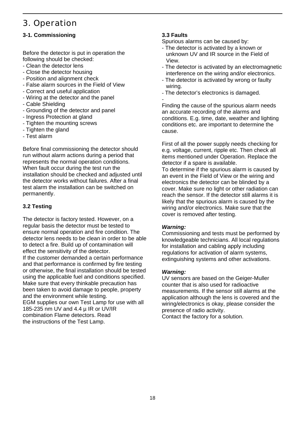### 3. Operation

#### **3-1. Commissioning**

Before the detector is put in operation the following should be checked:

- Clean the detector lens
- Close the detector housing
- Position and alignment check
- False alarm sources in the Field of View
- Correct and useful application
- Wiring at the detector and the panel
- Cable Shielding
- Grounding of the detector and panel
- Ingress Protection at gland
- Tighten the mounting screws
- Tighten the gland
- Test alarm

Before final commissioning the detector should run without alarm actions during a period that represents the normal operation conditions. When fault occur during the test run the installation should be checked and adjusted until the detector works without failures. After a final test alarm the installation can be switched on permanently.

#### **3.2 Testing**

The detector is factory tested. However, on a regular basis the detector must be tested to ensure normal operation and fire condition. The detector lens needs to be clean in order to be able to detect a fire. Build up of contamination will effect the sensitivity of the detector. If the customer demanded a certain performance and that performance is confirmed by fire testing or otherwise, the final installation should be tested using the applicable fuel and conditions specified. Make sure that every thinkable precaution has been taken to avoid damage to people, property and the environment while testing. EGM supplies our own Test Lamp for use with all 185-235 nm UV and 4.4 µ IR or UV/IR combination Flame detectors. Read the instructions of the Test Lamp.

#### **3.3 Faults**

Spurious alarms can be caused by:

- The detector is activated by a known or unknown UV and IR source in the Field of View.
- The detector is activated by an electromagnetic interference on the wiring and/or electronics.
- The detector is activated by wrong or faulty wiring.
- The detector's electronics is damaged. -

Finding the cause of the spurious alarm needs an accurate recording of the alarms and conditions. E.g. time, date, weather and lighting conditions etc. are important to determine the cause.

First of all the power supply needs checking for e.g. voltage, current, ripple etc. Then check all items mentioned under Operation. Replace the detector if a spare is available.

To determine if the spurious alarm is caused by an event in the Field of View or the wiring and electronics the detector can be blinded by a cover. Make sure no light or other radiation can reach the sensor. If the detector still alarms it is likely that the spurious alarm is caused by the wiring and/or electronics. Make sure that the cover is removed after testing.

#### *Warning:*

Commissioning and tests must be performed by knowledgeable technicians. All local regulations for installation and cabling apply including regulations for activation of alarm systems, extinguishing systems and other activations.

#### *Warning:*

UV sensors are based on the Geiger-Muller counter that is also used for radioactive measurements. If the sensor still alarms at the application although the lens is covered and the wiring/electronics is okay, please consider the presence of radio activity. Contact the factory for a solution.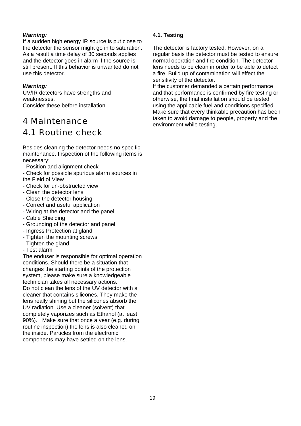#### *Warning:*

If a sudden high energy IR source is put close to the detector the sensor might go in to saturation. As a result a time delay of 30 seconds applies and the detector goes in alarm if the source is still present. If this behavior is unwanted do not use this detector.

#### *Warning:*

UV/IR detectors have strengths and weaknesses.

Consider these before installation.

# 4 Maintenance

### 4.1 Routine check

Besides cleaning the detector needs no specific maintenance. Inspection of the following items is necessary:

- Position and alignment check
- Check for possible spurious alarm sources in the Field of View
- Check for un-obstructed view
- Clean the detector lens
- Close the detector housing
- Correct and useful application
- Wiring at the detector and the panel
- Cable Shielding
- Grounding of the detector and panel
- Ingress Protection at gland
- Tighten the mounting screws
- Tighten the gland
- Test alarm

The enduser is responsible for optimal operation conditions. Should there be a situation that changes the starting points of the protection system, please make sure a knowledgeable technician takes all necessary actions. Do not clean the lens of the UV detector with a cleaner that contains silicones. They make the lens really shining but the silicones absorb the UV radiation. Use a cleaner (solvent) that completely vaporizes such as Ethanol (at least 90%). Make sure that once a year (e.g. during routine inspection) the lens is also cleaned on the inside. Particles from the electronic components may have settled on the lens.

#### **4.1. Testing**

The detector is factory tested. However, on a regular basis the detector must be tested to ensure normal operation and fire condition. The detector lens needs to be clean in order to be able to detect a fire. Build up of contamination will effect the sensitivity of the detector.

If the customer demanded a certain performance and that performance is confirmed by fire testing or otherwise, the final installation should be tested using the applicable fuel and conditions specified. Make sure that every thinkable precaution has been taken to avoid damage to people, property and the environment while testing.